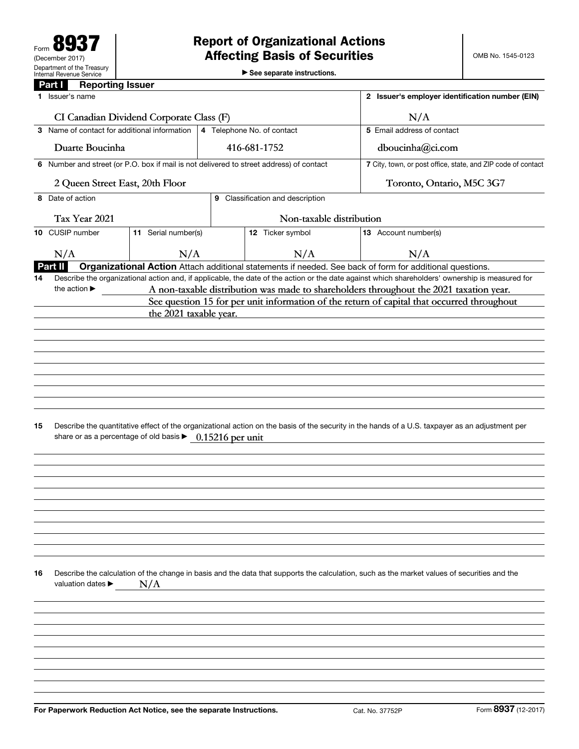▶ See separate instructions.

|    | <b>Reporting Issuer</b><br>Part I                                  |                        |                                                                                         |                            |  |                                                                                                                                                                                      |                     |  |
|----|--------------------------------------------------------------------|------------------------|-----------------------------------------------------------------------------------------|----------------------------|--|--------------------------------------------------------------------------------------------------------------------------------------------------------------------------------------|---------------------|--|
|    | Issuer's name                                                      |                        |                                                                                         |                            |  | 2 Issuer's employer identification number (EIN)                                                                                                                                      |                     |  |
|    | CI Canadian Dividend Corporate Class (F)                           |                        |                                                                                         | N/A                        |  |                                                                                                                                                                                      |                     |  |
|    | 3 Name of contact for additional information                       |                        |                                                                                         | 4 Telephone No. of contact |  | 5 Email address of contact                                                                                                                                                           |                     |  |
|    | Duarte Boucinha                                                    |                        |                                                                                         | 416-681-1752               |  | dboucinha@ci.com                                                                                                                                                                     |                     |  |
|    |                                                                    |                        | 6 Number and street (or P.O. box if mail is not delivered to street address) of contact |                            |  | 7 City, town, or post office, state, and ZIP code of contact                                                                                                                         |                     |  |
|    | 2 Queen Street East, 20th Floor                                    |                        |                                                                                         |                            |  | Toronto, Ontario, M5C 3G7                                                                                                                                                            |                     |  |
| 8  | Date of action                                                     |                        | 9 Classification and description                                                        |                            |  |                                                                                                                                                                                      |                     |  |
|    | Tax Year 2021                                                      |                        | Non-taxable distribution                                                                |                            |  |                                                                                                                                                                                      |                     |  |
|    | 10 CUSIP number                                                    | 11 Serial number(s)    |                                                                                         | 12 Ticker symbol           |  | 13 Account number(s)                                                                                                                                                                 |                     |  |
|    | N/A                                                                | N/A                    |                                                                                         | N/A                        |  | N/A                                                                                                                                                                                  |                     |  |
|    | Part II                                                            |                        |                                                                                         |                            |  | Organizational Action Attach additional statements if needed. See back of form for additional questions.                                                                             |                     |  |
| 14 | the action $\blacktriangleright$                                   |                        |                                                                                         |                            |  | Describe the organizational action and, if applicable, the date of the action or the date against which shareholders' ownership is measured for                                      |                     |  |
|    |                                                                    |                        |                                                                                         |                            |  | A non-taxable distribution was made to shareholders throughout the 2021 taxation year.<br>See question 15 for per unit information of the return of capital that occurred throughout |                     |  |
|    |                                                                    | the 2021 taxable year. |                                                                                         |                            |  |                                                                                                                                                                                      |                     |  |
|    |                                                                    |                        |                                                                                         |                            |  |                                                                                                                                                                                      |                     |  |
|    |                                                                    |                        |                                                                                         |                            |  |                                                                                                                                                                                      |                     |  |
|    |                                                                    |                        |                                                                                         |                            |  |                                                                                                                                                                                      |                     |  |
|    |                                                                    |                        |                                                                                         |                            |  |                                                                                                                                                                                      |                     |  |
|    |                                                                    |                        |                                                                                         |                            |  |                                                                                                                                                                                      |                     |  |
|    |                                                                    |                        |                                                                                         |                            |  |                                                                                                                                                                                      |                     |  |
|    |                                                                    |                        |                                                                                         |                            |  |                                                                                                                                                                                      |                     |  |
| 15 | share or as a percentage of old basis ▶ 0.15216 per unit           |                        |                                                                                         |                            |  | Describe the quantitative effect of the organizational action on the basis of the security in the hands of a U.S. taxpayer as an adjustment per                                      |                     |  |
|    |                                                                    |                        |                                                                                         |                            |  |                                                                                                                                                                                      |                     |  |
|    |                                                                    |                        |                                                                                         |                            |  |                                                                                                                                                                                      |                     |  |
|    |                                                                    |                        |                                                                                         |                            |  |                                                                                                                                                                                      |                     |  |
|    |                                                                    |                        |                                                                                         |                            |  |                                                                                                                                                                                      |                     |  |
|    |                                                                    |                        |                                                                                         |                            |  |                                                                                                                                                                                      |                     |  |
| 16 | valuation dates ▶                                                  | N/A                    |                                                                                         |                            |  | Describe the calculation of the change in basis and the data that supports the calculation, such as the market values of securities and the                                          |                     |  |
|    |                                                                    |                        |                                                                                         |                            |  |                                                                                                                                                                                      |                     |  |
|    |                                                                    |                        |                                                                                         |                            |  |                                                                                                                                                                                      |                     |  |
|    |                                                                    |                        |                                                                                         |                            |  |                                                                                                                                                                                      |                     |  |
|    |                                                                    |                        |                                                                                         |                            |  |                                                                                                                                                                                      |                     |  |
|    |                                                                    |                        |                                                                                         |                            |  |                                                                                                                                                                                      |                     |  |
|    |                                                                    |                        |                                                                                         |                            |  |                                                                                                                                                                                      |                     |  |
|    |                                                                    |                        |                                                                                         |                            |  |                                                                                                                                                                                      |                     |  |
|    |                                                                    |                        |                                                                                         |                            |  |                                                                                                                                                                                      | Form 8937 (12-2017) |  |
|    | For Paperwork Reduction Act Notice, see the separate Instructions. |                        |                                                                                         |                            |  | Cat. No. 37752P                                                                                                                                                                      |                     |  |